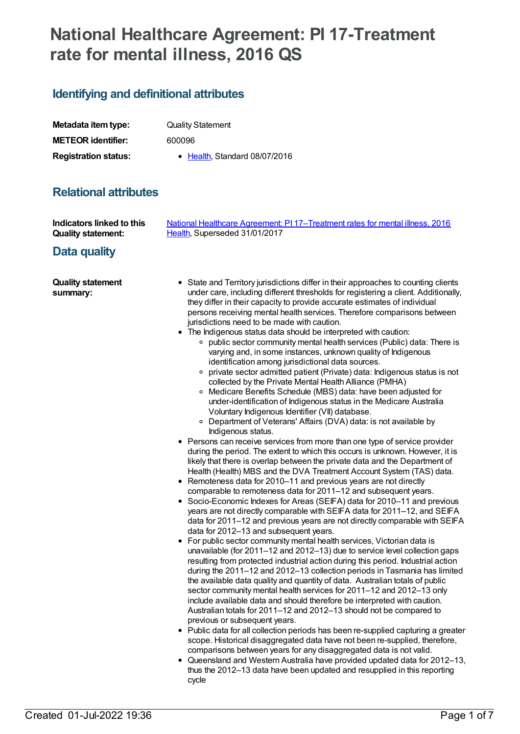# **National Healthcare Agreement: PI 17-Treatment rate for mental illness, 2016 QS**

# **Identifying and definitional attributes**

| Metadata item type:         | <b>Quality Statement</b>      |
|-----------------------------|-------------------------------|
| <b>METEOR identifier:</b>   | 600096                        |
| <b>Registration status:</b> | • Health, Standard 08/07/2016 |

## **Relational attributes**

| <b>Indicators linked to this</b><br><b>Quality statement:</b><br>Data quality | National Healthcare Agreement: PI 17-Treatment rates for mental illness, 2016<br>Health, Superseded 31/01/2017                                                                                                                                                                                                                                                                                                                                                                                                                                                                                                                                                                                                                                                                                                                                                                                                                                                                                                                                                                                                                                                                                                                                                                                                                                                                                                                                                                                                                                                                                                                                                                                                                                                                                                                                                                                                                                                                                                                                                                                                                                                                                                                                                                                                                                                                                                                                                                                                                                                                                                                                                                                                                                                                                                                                                                                                  |
|-------------------------------------------------------------------------------|-----------------------------------------------------------------------------------------------------------------------------------------------------------------------------------------------------------------------------------------------------------------------------------------------------------------------------------------------------------------------------------------------------------------------------------------------------------------------------------------------------------------------------------------------------------------------------------------------------------------------------------------------------------------------------------------------------------------------------------------------------------------------------------------------------------------------------------------------------------------------------------------------------------------------------------------------------------------------------------------------------------------------------------------------------------------------------------------------------------------------------------------------------------------------------------------------------------------------------------------------------------------------------------------------------------------------------------------------------------------------------------------------------------------------------------------------------------------------------------------------------------------------------------------------------------------------------------------------------------------------------------------------------------------------------------------------------------------------------------------------------------------------------------------------------------------------------------------------------------------------------------------------------------------------------------------------------------------------------------------------------------------------------------------------------------------------------------------------------------------------------------------------------------------------------------------------------------------------------------------------------------------------------------------------------------------------------------------------------------------------------------------------------------------------------------------------------------------------------------------------------------------------------------------------------------------------------------------------------------------------------------------------------------------------------------------------------------------------------------------------------------------------------------------------------------------------------------------------------------------------------------------------------------------|
| <b>Quality statement</b><br>summary:                                          | • State and Territory jurisdictions differ in their approaches to counting clients<br>under care, including different thresholds for registering a client. Additionally,<br>they differ in their capacity to provide accurate estimates of individual<br>persons receiving mental health services. Therefore comparisons between<br>jurisdictions need to be made with caution.<br>• The Indigenous status data should be interpreted with caution:<br>○ public sector community mental health services (Public) data: There is<br>varying and, in some instances, unknown quality of Indigenous<br>identification among jurisdictional data sources.<br>∘ private sector admitted patient (Private) data: Indigenous status is not<br>collected by the Private Mental Health Alliance (PMHA)<br>○ Medicare Benefits Schedule (MBS) data: have been adjusted for<br>under-identification of Indigenous status in the Medicare Australia<br>Voluntary Indigenous Identifier (VII) database.<br>○ Department of Veterans' Affairs (DVA) data: is not available by<br>Indigenous status.<br>• Persons can receive services from more than one type of service provider<br>during the period. The extent to which this occurs is unknown. However, it is<br>likely that there is overlap between the private data and the Department of<br>Health (Health) MBS and the DVA Treatment Account System (TAS) data.<br>• Remoteness data for 2010-11 and previous years are not directly<br>comparable to remoteness data for 2011-12 and subsequent years.<br>• Socio-Economic Indexes for Areas (SEIFA) data for 2010-11 and previous<br>years are not directly comparable with SEIFA data for 2011-12, and SEIFA<br>data for 2011-12 and previous years are not directly comparable with SEIFA<br>data for 2012-13 and subsequent years.<br>For public sector community mental health services, Victorian data is<br>٠<br>unavailable (for 2011-12 and 2012-13) due to service level collection gaps<br>resulting from protected industrial action during this period. Industrial action<br>during the 2011-12 and 2012-13 collection periods in Tasmania has limited<br>the available data quality and quantity of data. Australian totals of public<br>sector community mental health services for 2011-12 and 2012-13 only<br>include available data and should therefore be interpreted with caution.<br>Australian totals for 2011-12 and 2012-13 should not be compared to<br>previous or subsequent years.<br>• Public data for all collection periods has been re-supplied capturing a greater<br>scope. Historical disaggregated data have not been re-supplied, therefore,<br>comparisons between years for any disaggregated data is not valid.<br>• Queensland and Western Australia have provided updated data for 2012-13,<br>thus the 2012-13 data have been updated and resupplied in this reporting |

cycle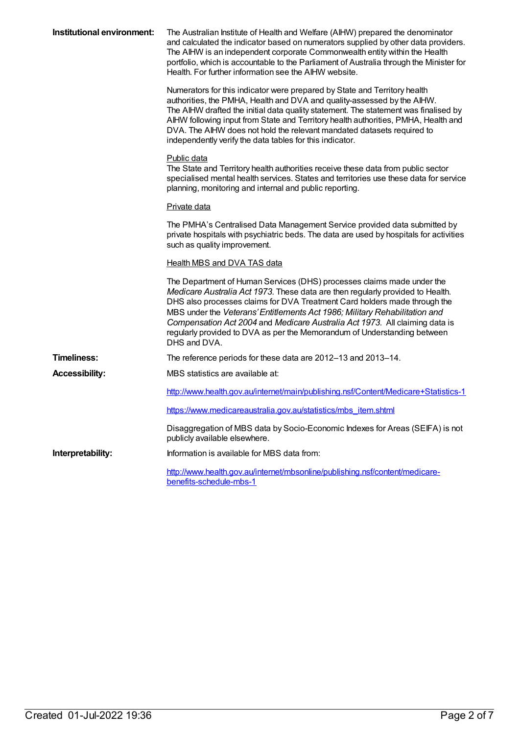| Institutional environment: | The Australian Institute of Health and Welfare (AIHW) prepared the denominator<br>and calculated the indicator based on numerators supplied by other data providers.<br>The AIHW is an independent corporate Commonwealth entity within the Health<br>portfolio, which is accountable to the Parliament of Australia through the Minister for<br>Health. For further information see the AIHW website.                                                                                         |
|----------------------------|------------------------------------------------------------------------------------------------------------------------------------------------------------------------------------------------------------------------------------------------------------------------------------------------------------------------------------------------------------------------------------------------------------------------------------------------------------------------------------------------|
|                            | Numerators for this indicator were prepared by State and Territory health<br>authorities, the PMHA, Health and DVA and quality-assessed by the AlHW.<br>The AIHW drafted the initial data quality statement. The statement was finalised by<br>AIHW following input from State and Territory health authorities, PMHA, Health and<br>DVA. The AIHW does not hold the relevant mandated datasets required to<br>independently verify the data tables for this indicator.                        |
|                            | Public data<br>The State and Territory health authorities receive these data from public sector<br>specialised mental health services. States and territories use these data for service<br>planning, monitoring and internal and public reporting.                                                                                                                                                                                                                                            |
|                            | Private data                                                                                                                                                                                                                                                                                                                                                                                                                                                                                   |
|                            | The PMHA's Centralised Data Management Service provided data submitted by<br>private hospitals with psychiatric beds. The data are used by hospitals for activities<br>such as quality improvement.                                                                                                                                                                                                                                                                                            |
|                            | <b>Health MBS and DVA TAS data</b>                                                                                                                                                                                                                                                                                                                                                                                                                                                             |
|                            | The Department of Human Services (DHS) processes claims made under the<br>Medicare Australia Act 1973. These data are then regularly provided to Health.<br>DHS also processes claims for DVA Treatment Card holders made through the<br>MBS under the Veterans' Entitlements Act 1986; Military Rehabilitation and<br>Compensation Act 2004 and Medicare Australia Act 1973. All claiming data is<br>regularly provided to DVA as per the Memorandum of Understanding between<br>DHS and DVA. |
| <b>Timeliness:</b>         | The reference periods for these data are 2012-13 and 2013-14.                                                                                                                                                                                                                                                                                                                                                                                                                                  |
| <b>Accessibility:</b>      | MBS statistics are available at:                                                                                                                                                                                                                                                                                                                                                                                                                                                               |
|                            | http://www.health.gov.au/internet/main/publishing.nsf/Content/Medicare+Statistics-1                                                                                                                                                                                                                                                                                                                                                                                                            |
|                            | https://www.medicareaustralia.gov.au/statistics/mbs_item.shtml                                                                                                                                                                                                                                                                                                                                                                                                                                 |
|                            | Disaggregation of MBS data by Socio-Economic Indexes for Areas (SEIFA) is not<br>publicly available elsewhere.                                                                                                                                                                                                                                                                                                                                                                                 |
| Interpretability:          | Information is available for MBS data from:                                                                                                                                                                                                                                                                                                                                                                                                                                                    |
|                            | http://www.health.gov.au/internet/mbsonline/publishing.nsf/content/medicare-<br>benefits-schedule-mbs-1                                                                                                                                                                                                                                                                                                                                                                                        |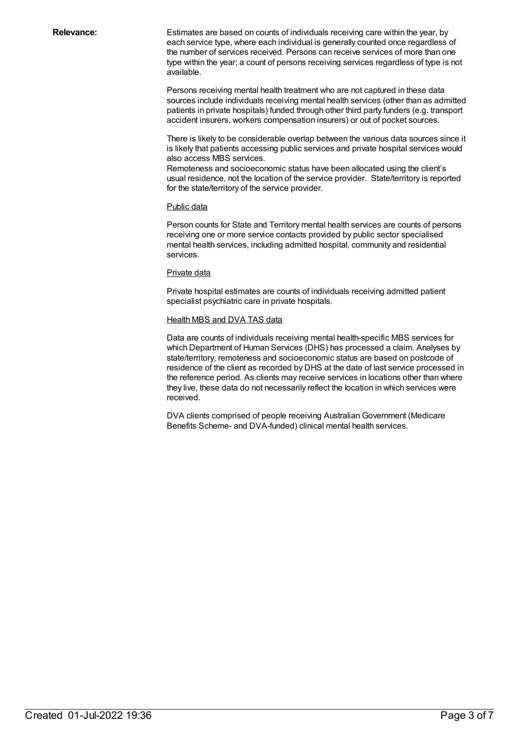**Relevance:** Estimates are based on counts of individuals receiving care within the year, by each service type, where each individual is generally counted once regardless of the number of services received. Persons can receive services of more than one type within the year; a count of persons receiving services regardless of type is not available.

> Persons receiving mental health treatment who are not captured in these data sources include individuals receiving mental health services (other than as admitted patients in private hospitals) funded through other third party funders (e.g. transport accident insurers, workers compensation insurers) or out of pocket sources.

> There is likely to be considerable overlap between the various data sources since it is likely that patients accessing public services and private hospital services would also access MBS services.

Remoteness and socioeconomic status have been allocated using the client's usual residence, not the location of the service provider. State/territory is reported for the state/territory of the service provider.

#### Public data

Person counts for State and Territory mental health services are counts of persons receiving one or more service contacts provided by public sector specialised mental health services, including admitted hospital, community and residential services.

#### Private data

Private hospital estimates are counts of individuals receiving admitted patient specialist psychiatric care in private hospitals.

#### Health MBS and DVA TAS data

Data are counts of individuals receiving mental health-specific MBS services for which Department of Human Services (DHS) has processed a claim. Analyses by state/territory, remoteness and socioeconomic status are based on postcode of residence of the client as recorded by DHS at the date of last service processed in the reference period. As clients may receive services in locations other than where they live, these data do not necessarily reflect the location in which services were received.

DVA clients comprised of people receiving AustralianGovernment (Medicare Benefits Scheme- and DVA-funded) clinical mental health services.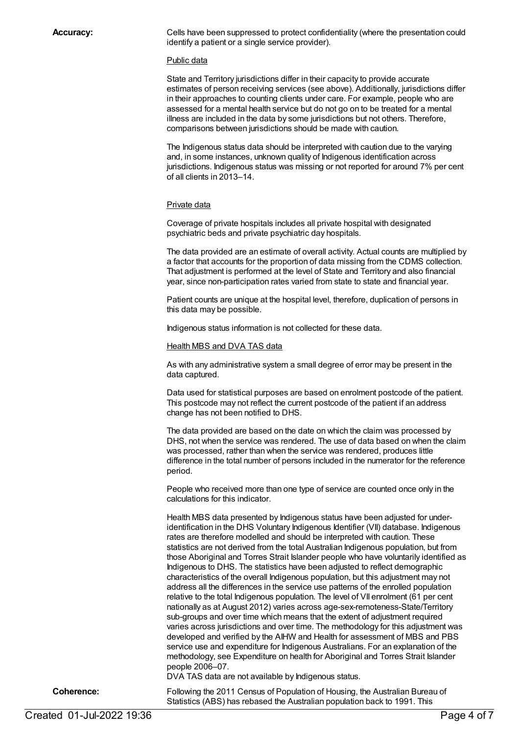**Accuracy:** Cells have been suppressed to protect confidentiality (where the presentation could identify a patient or a single service provider).

#### Public data

State and Territory jurisdictions differ in their capacity to provide accurate estimates of person receiving services (see above). Additionally, jurisdictions differ in their approaches to counting clients under care. For example, people who are assessed for a mental health service but do not go on to be treated for a mental illness are included in the data by some jurisdictions but not others. Therefore, comparisons between jurisdictions should be made with caution.

The Indigenous status data should be interpreted with caution due to the varying and, in some instances, unknown quality of Indigenous identification across jurisdictions. Indigenous status was missing or not reported for around 7% per cent of all clients in 2013–14.

#### Private data

Coverage of private hospitals includes all private hospital with designated psychiatric beds and private psychiatric day hospitals.

The data provided are an estimate of overall activity. Actual counts are multiplied by a factor that accounts for the proportion of data missing from the CDMS collection. That adjustment is performed at the level of State and Territory and also financial year, since non-participation rates varied from state to state and financial year.

Patient counts are unique at the hospital level, therefore, duplication of persons in this data may be possible.

Indigenous status information is not collected for these data.

#### Health MBS and DVA TAS data

As with any administrative system a small degree of error may be present in the data captured.

Data used for statistical purposes are based on enrolment postcode of the patient. This postcode may not reflect the current postcode of the patient if an address change has not been notified to DHS.

The data provided are based on the date on which the claim was processed by DHS, not when the service was rendered. The use of data based on when the claim was processed, rather than when the service was rendered, produces little difference in the total number of persons included in the numerator for the reference period.

People who received more than one type of service are counted once only in the calculations for this indicator.

Health MBS data presented by Indigenous status have been adjusted for underidentification in the DHS Voluntary Indigenous Identifier (VII) database. Indigenous rates are therefore modelled and should be interpreted with caution. These statistics are not derived from the total Australian Indigenous population, but from those Aboriginal and Torres Strait Islander people who have voluntarily identified as Indigenous to DHS. The statistics have been adjusted to reflect demographic characteristics of the overall Indigenous population, but this adjustment may not address all the differences in the service use patterns of the enrolled population relative to the total Indigenous population. The level of VII enrolment (61 per cent nationally as at August 2012) varies across age-sex-remoteness-State/Territory sub-groups and over time which means that the extent of adjustment required varies across jurisdictions and over time. The methodology for this adjustment was developed and verified by the AIHW and Health for assessment of MBS and PBS service use and expenditure for Indigenous Australians. For an explanation of the methodology, see Expenditure on health for Aboriginal and Torres Strait Islander people 2006–07.

DVA TAS data are not available by Indigenous status.

**Coherence:** Following the 2011 Census of Population of Housing, the Australian Bureau of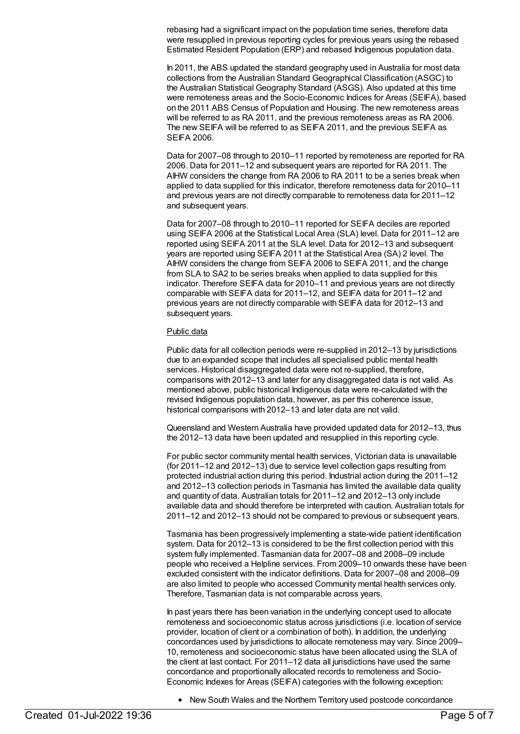rebasing had a significant impact on the population time series, therefore data were resupplied in previous reporting cycles for previous years using the rebased Estimated Resident Population (ERP) and rebased Indigenous population data.

In 2011, the ABS updated the standard geography used in Australia for most data collections from the Australian Standard Geographical Classification (ASGC) to the Australian Statistical Geography Standard (ASGS). Also updated at this time were remoteness areas and the Socio-Economic Indices for Areas (SEIFA), based on the 2011 ABS Census of Population and Housing. The new remoteness areas will be referred to as RA 2011, and the previous remoteness areas as RA 2006. The new SEIFA will be referred to as SEIFA 2011, and the previous SEIFA as **SEIFA 2006.** 

Data for 2007–08 through to 2010–11 reported by remoteness are reported for RA 2006. Data for 2011–12 and subsequent years are reported for RA 2011. The AIHW considers the change from RA 2006 to RA 2011 to be a series break when applied to data supplied for this indicator, therefore remoteness data for 2010–11 and previous years are not directly comparable to remoteness data for 2011–12 and subsequent years.

Data for 2007–08 through to 2010–11 reported for SEIFA deciles are reported using SEIFA 2006 at the Statistical Local Area (SLA) level. Data for 2011–12 are reported using SEIFA 2011 at the SLA level. Data for 2012–13 and subsequent years are reported using SEIFA 2011 at the Statistical Area (SA) 2 level. The AIHW considers the change from SEIFA 2006 to SEIFA 2011, and the change from SLA to SA2 to be series breaks when applied to data supplied for this indicator. Therefore SEIFA data for 2010–11 and previous years are not directly comparable with SEIFA data for 2011–12, and SEIFA data for 2011–12 and previous years are not directly comparable with SEIFA data for 2012–13 and subsequent years.

#### Public data

Public data for all collection periods were re-supplied in 2012–13 by jurisdictions due to an expanded scope that includes all specialised public mental health services. Historical disaggregated data were not re-supplied, therefore, comparisons with 2012–13 and later for any disaggregated data is not valid. As mentioned above, public historical Indigenous data were re-calculated with the revised Indigenous population data, however, as per this coherence issue, historical comparisons with 2012–13 and later data are not valid.

Queensland and Western Australia have provided updated data for 2012–13, thus the 2012–13 data have been updated and resupplied in this reporting cycle.

For public sector community mental health services, Victorian data is unavailable (for 2011–12 and 2012–13) due to service level collection gaps resulting from protected industrial action during this period. Industrial action during the 2011–12 and 2012–13 collection periods in Tasmania has limited the available data quality and quantity of data. Australian totals for 2011–12 and 2012–13 only include available data and should therefore be interpreted with caution. Australian totals for 2011–12 and 2012–13 should not be compared to previous or subsequent years.

Tasmania has been progressively implementing a state-wide patient identification system. Data for 2012–13 is considered to be the first collection period with this system fully implemented. Tasmanian data for 2007–08 and 2008–09 include people who received a Helpline services. From 2009–10 onwards these have been excluded consistent with the indicator definitions. Data for 2007–08 and 2008–09 are also limited to people who accessed Community mental health services only. Therefore, Tasmanian data is not comparable across years.

In past years there has been variation in the underlying concept used to allocate remoteness and socioeconomic status across jurisdictions (i.e. location of service provider, location of client or a combination of both). In addition, the underlying concordances used by jurisdictions to allocate remoteness may vary. Since 2009– 10, remoteness and socioeconomic status have been allocated using the SLA of the client at last contact. For 2011–12 data all jurisdictions have used the same concordance and proportionally allocated records to remoteness and Socio-Economic Indexes for Areas (SEIFA) categories with the following exception:

New South Wales and the Northern Territory used postcode concordance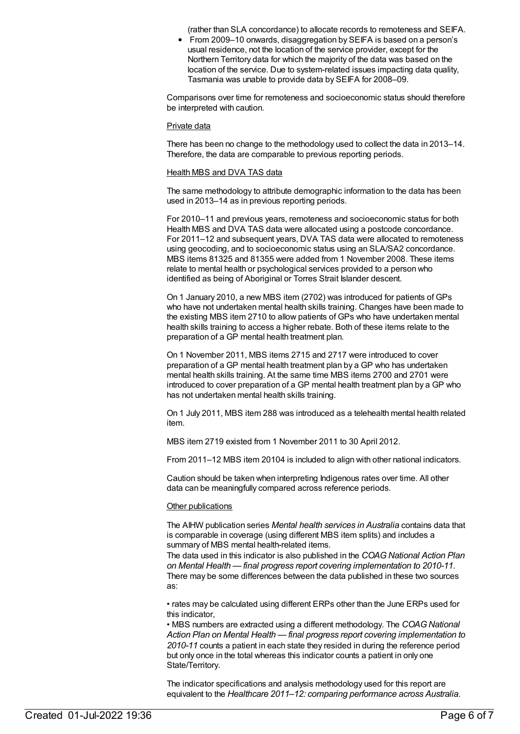(rather than SLA concordance) to allocate records to remoteness and SEIFA.

From 2009–10 onwards, disaggregation by SEIFA is based on a person's usual residence, not the location of the service provider, except for the Northern Territory data for which the majority of the data was based on the location of the service. Due to system-related issues impacting data quality, Tasmania was unable to provide data by SEIFA for 2008–09.

Comparisons over time for remoteness and socioeconomic status should therefore be interpreted with caution.

#### Private data

There has been no change to the methodology used to collect the data in 2013–14. Therefore, the data are comparable to previous reporting periods.

#### Health MBS and DVA TAS data

The same methodology to attribute demographic information to the data has been used in 2013–14 as in previous reporting periods.

For 2010–11 and previous years, remoteness and socioeconomic status for both Health MBS and DVA TAS data were allocated using a postcode concordance. For 2011–12 and subsequent years, DVA TAS data were allocated to remoteness using geocoding, and to socioeconomic status using an SLA/SA2 concordance. MBS items 81325 and 81355 were added from 1 November 2008. These items relate to mental health or psychological services provided to a person who identified as being of Aboriginal or Torres Strait Islander descent.

On 1 January 2010, a new MBS item (2702) was introduced for patients of GPs who have not undertaken mental health skills training. Changes have been made to the existing MBS item 2710 to allow patients of GPs who have undertaken mental health skills training to access a higher rebate. Both of these items relate to the preparation of a GP mental health treatment plan.

On 1 November 2011, MBS items 2715 and 2717 were introduced to cover preparation of a GP mental health treatment plan by a GP who has undertaken mental health skills training. At the same time MBS items 2700 and 2701 were introduced to cover preparation of a GP mental health treatment plan by a GP who has not undertaken mental health skills training.

On 1 July 2011, MBS item 288 was introduced as a telehealth mental health related item.

MBS item 2719 existed from 1 November 2011 to 30 April 2012.

From 2011–12 MBS item 20104 is included to align with other national indicators.

Caution should be taken when interpreting Indigenous rates over time. All other data can be meaningfully compared across reference periods.

#### Other publications

The AIHW publication series *Mental health services in Australia* contains data that is comparable in coverage (using different MBS item splits) and includes a summary of MBS mental health-related items.

The data used in this indicator is also published in the *COAGNational Action Plan on Mental Health — final progress report covering implementation to 2010-11*. There may be some differences between the data published in these two sources as:

• rates may be calculated using different ERPs other than the June ERPs used for this indicator,

• MBS numbers are extracted using a different methodology. The COAG National *Action Plan on Mental Health — final progress report covering implementation to 2010-11* counts a patient in each state they resided in during the reference period but only once in the total whereas this indicator counts a patient in only one State/Territory.

The indicator specifications and analysis methodology used for this report are equivalent to the *Healthcare 2011–12: comparing performance across Australia*.